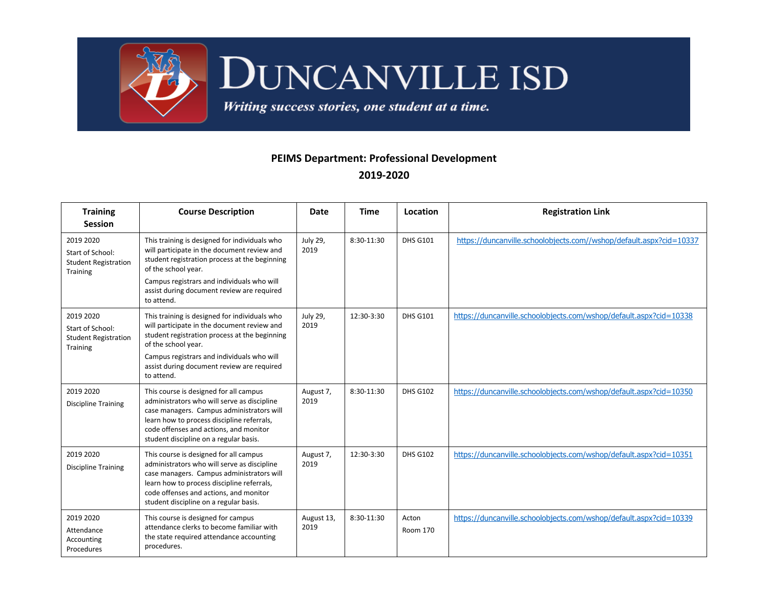

## DUNCANVILLE ISD

Writing success stories, one student at a time.

## **PEIMS Department: Professional Development 2019-2020**

| <b>Training</b><br><b>Session</b>                                               | <b>Course Description</b>                                                                                                                                                                                                                                            | Date               | <b>Time</b> | Location          | <b>Registration Link</b>                                            |
|---------------------------------------------------------------------------------|----------------------------------------------------------------------------------------------------------------------------------------------------------------------------------------------------------------------------------------------------------------------|--------------------|-------------|-------------------|---------------------------------------------------------------------|
| 2019 2020<br>Start of School:<br><b>Student Registration</b><br><b>Training</b> | This training is designed for individuals who<br>will participate in the document review and<br>student registration process at the beginning<br>of the school year.                                                                                                 | July 29,<br>2019   | 8:30-11:30  | <b>DHS G101</b>   | https://duncanville.schoolobjects.com//wshop/default.aspx?cid=10337 |
|                                                                                 | Campus registrars and individuals who will<br>assist during document review are required<br>to attend.                                                                                                                                                               |                    |             |                   |                                                                     |
| 2019 2020<br>Start of School:<br><b>Student Registration</b>                    | This training is designed for individuals who<br>will participate in the document review and<br>student registration process at the beginning                                                                                                                        | July 29,<br>2019   | 12:30-3:30  | <b>DHS G101</b>   | https://duncanville.schoolobjects.com/wshop/default.aspx?cid=10338  |
| <b>Training</b>                                                                 | of the school year.<br>Campus registrars and individuals who will<br>assist during document review are required<br>to attend.                                                                                                                                        |                    |             |                   |                                                                     |
| 2019 2020<br><b>Discipline Training</b>                                         | This course is designed for all campus<br>administrators who will serve as discipline<br>case managers. Campus administrators will<br>learn how to process discipline referrals,<br>code offenses and actions, and monitor<br>student discipline on a regular basis. | August 7,<br>2019  | 8:30-11:30  | <b>DHS G102</b>   | https://duncanville.schoolobjects.com/wshop/default.aspx?cid=10350  |
| 2019 2020<br><b>Discipline Training</b>                                         | This course is designed for all campus<br>administrators who will serve as discipline<br>case managers. Campus administrators will<br>learn how to process discipline referrals,<br>code offenses and actions, and monitor<br>student discipline on a regular basis. | August 7,<br>2019  | 12:30-3:30  | <b>DHS G102</b>   | https://duncanville.schoolobjects.com/wshop/default.aspx?cid=10351  |
| 2019 2020<br>Attendance<br>Accounting<br>Procedures                             | This course is designed for campus<br>attendance clerks to become familiar with<br>the state required attendance accounting<br>procedures.                                                                                                                           | August 13,<br>2019 | 8:30-11:30  | Acton<br>Room 170 | https://duncanville.schoolobjects.com/wshop/default.aspx?cid=10339  |